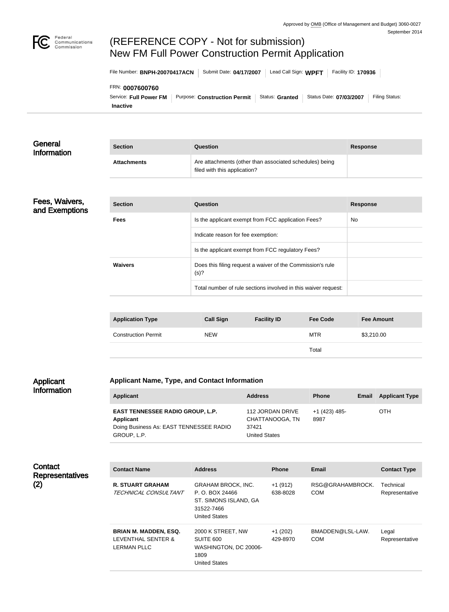

# (REFERENCE COPY - Not for submission) New FM Full Power Construction Permit Application

File Number: **BNPH-20070417ACN** Submit Date: 04/17/2007 Lead Call Sign: WPFT Facility ID: 170936

#### FRN: **0007600760**

**Inactive** Service: Full Power FM | Purpose: Construction Permit | Status: Granted | Status Date: 07/03/2007 | Filing Status:

| General<br><b>Information</b>    | <b>Section</b>             | Question                                                                                |                    |                 | <b>Response</b>   |  |
|----------------------------------|----------------------------|-----------------------------------------------------------------------------------------|--------------------|-----------------|-------------------|--|
|                                  | <b>Attachments</b>         | Are attachments (other than associated schedules) being<br>filed with this application? |                    |                 |                   |  |
|                                  |                            |                                                                                         |                    |                 |                   |  |
| Fees, Waivers,<br>and Exemptions | <b>Section</b>             | <b>Question</b>                                                                         |                    |                 | <b>Response</b>   |  |
|                                  | <b>Fees</b>                | Is the applicant exempt from FCC application Fees?                                      |                    |                 | No                |  |
|                                  |                            | Indicate reason for fee exemption:                                                      |                    |                 |                   |  |
|                                  |                            | Is the applicant exempt from FCC regulatory Fees?                                       |                    |                 |                   |  |
|                                  | <b>Waivers</b>             | Does this filing request a waiver of the Commission's rule<br>(s)?                      |                    |                 |                   |  |
|                                  |                            | Total number of rule sections involved in this waiver request:                          |                    |                 |                   |  |
|                                  |                            |                                                                                         |                    |                 |                   |  |
|                                  | <b>Application Type</b>    | <b>Call Sign</b>                                                                        | <b>Facility ID</b> | <b>Fee Code</b> | <b>Fee Amount</b> |  |
|                                  | <b>Construction Permit</b> | <b>NEW</b>                                                                              |                    | <b>MTR</b>      | \$3,210.00        |  |

#### Applicant Information

### **Applicant Name, Type, and Contact Information**

| Applicant                                                                                                             | <b>Address</b>                                                | <b>Phone</b>          | Email | <b>Applicant Type</b> |
|-----------------------------------------------------------------------------------------------------------------------|---------------------------------------------------------------|-----------------------|-------|-----------------------|
| <b>EAST TENNESSEE RADIO GROUP, L.P.</b><br><b>Applicant</b><br>Doing Business As: EAST TENNESSEE RADIO<br>GROUP, L.P. | 112 JORDAN DRIVE<br>CHATTANOOGA, TN<br>37421<br>United States | +1 (423) 485-<br>8987 |       | OTH                   |

Total

| Contact<br><b>Representatives</b> | <b>Contact Name</b>                                                      | <b>Address</b>                                                                                              | <b>Phone</b>          | <b>Email</b>                   | <b>Contact Type</b>         |
|-----------------------------------|--------------------------------------------------------------------------|-------------------------------------------------------------------------------------------------------------|-----------------------|--------------------------------|-----------------------------|
| (2)                               | <b>R. STUART GRAHAM</b><br>TECHNICAL CONSULTANT                          | <b>GRAHAM BROCK, INC.</b><br>P. O. BOX 24466<br>ST. SIMONS ISLAND, GA<br>31522-7466<br><b>United States</b> | $+1(912)$<br>638-8028 | RSG@GRAHAMBROCK.<br><b>COM</b> | Technical<br>Representative |
|                                   | <b>BRIAN M. MADDEN, ESQ.</b><br>LEVENTHAL SENTER &<br><b>LERMAN PLLC</b> | 2000 K STREET, NW<br>SUITE 600<br>WASHINGTON, DC 20006-<br>1809<br><b>United States</b>                     | $+1(202)$<br>429-8970 | BMADDEN@LSL-LAW.<br><b>COM</b> | Legal<br>Representative     |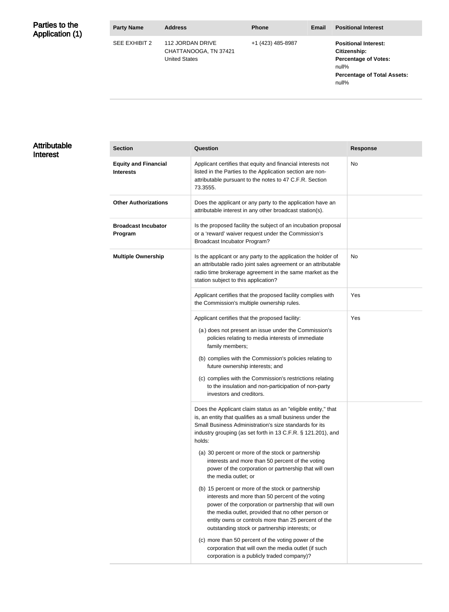| Parties to the<br>Application (1) | <b>Party Name</b> | <b>Address</b>                                                    | <b>Phone</b>      | <b>Email</b> | <b>Positional Interest</b>                                                                                                         |
|-----------------------------------|-------------------|-------------------------------------------------------------------|-------------------|--------------|------------------------------------------------------------------------------------------------------------------------------------|
|                                   | SEE EXHIBIT 2     | 112 JORDAN DRIVE<br>CHATTANOOGA, TN 37421<br><b>United States</b> | +1 (423) 485-8987 |              | <b>Positional Interest:</b><br>Citizenship:<br><b>Percentage of Votes:</b><br>null%<br><b>Percentage of Total Assets:</b><br>null% |

### Attributable Interest

| <b>Section</b>                                  | <b>Question</b>                                                                                                                                                                                                                                                                                                                                                                                                                                                                                                                                                                                                                                                                                                                                                                              | <b>Response</b> |
|-------------------------------------------------|----------------------------------------------------------------------------------------------------------------------------------------------------------------------------------------------------------------------------------------------------------------------------------------------------------------------------------------------------------------------------------------------------------------------------------------------------------------------------------------------------------------------------------------------------------------------------------------------------------------------------------------------------------------------------------------------------------------------------------------------------------------------------------------------|-----------------|
| <b>Equity and Financial</b><br><b>Interests</b> | Applicant certifies that equity and financial interests not<br>listed in the Parties to the Application section are non-<br>attributable pursuant to the notes to 47 C.F.R. Section<br>73.3555.                                                                                                                                                                                                                                                                                                                                                                                                                                                                                                                                                                                              | No              |
| <b>Other Authorizations</b>                     | Does the applicant or any party to the application have an<br>attributable interest in any other broadcast station(s).                                                                                                                                                                                                                                                                                                                                                                                                                                                                                                                                                                                                                                                                       |                 |
| <b>Broadcast Incubator</b><br>Program           | Is the proposed facility the subject of an incubation proposal<br>or a 'reward' waiver request under the Commission's<br>Broadcast Incubator Program?                                                                                                                                                                                                                                                                                                                                                                                                                                                                                                                                                                                                                                        |                 |
| <b>Multiple Ownership</b>                       | Is the applicant or any party to the application the holder of<br>an attributable radio joint sales agreement or an attributable<br>radio time brokerage agreement in the same market as the<br>station subject to this application?                                                                                                                                                                                                                                                                                                                                                                                                                                                                                                                                                         | No              |
|                                                 | Applicant certifies that the proposed facility complies with<br>the Commission's multiple ownership rules.                                                                                                                                                                                                                                                                                                                                                                                                                                                                                                                                                                                                                                                                                   | Yes             |
|                                                 | Applicant certifies that the proposed facility:<br>(a) does not present an issue under the Commission's<br>policies relating to media interests of immediate<br>family members;<br>(b) complies with the Commission's policies relating to<br>future ownership interests; and<br>(c) complies with the Commission's restrictions relating<br>to the insulation and non-participation of non-party<br>investors and creditors.                                                                                                                                                                                                                                                                                                                                                                | Yes             |
|                                                 | Does the Applicant claim status as an "eligible entity," that<br>is, an entity that qualifies as a small business under the<br>Small Business Administration's size standards for its<br>industry grouping (as set forth in 13 C.F.R. § 121.201), and<br>holds:<br>(a) 30 percent or more of the stock or partnership<br>interests and more than 50 percent of the voting<br>power of the corporation or partnership that will own<br>the media outlet; or<br>(b) 15 percent or more of the stock or partnership<br>interests and more than 50 percent of the voting<br>power of the corporation or partnership that will own<br>the media outlet, provided that no other person or<br>entity owns or controls more than 25 percent of the<br>outstanding stock or partnership interests; or |                 |
|                                                 | (c) more than 50 percent of the voting power of the<br>corporation that will own the media outlet (if such<br>corporation is a publicly traded company)?                                                                                                                                                                                                                                                                                                                                                                                                                                                                                                                                                                                                                                     |                 |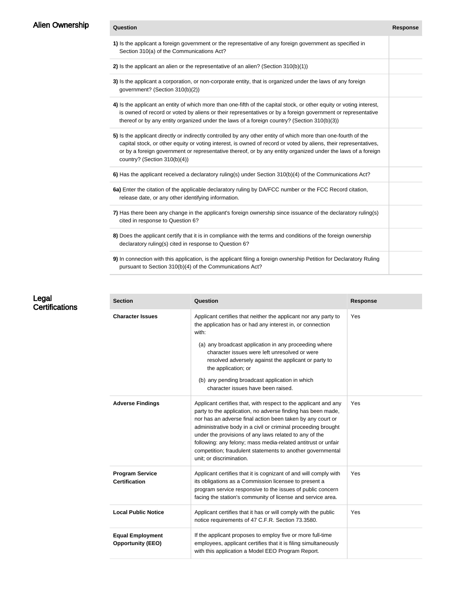| Alien Ownership | Question                                                                                                                                                                                                                                                                                                                                                                              | <b>Response</b> |
|-----------------|---------------------------------------------------------------------------------------------------------------------------------------------------------------------------------------------------------------------------------------------------------------------------------------------------------------------------------------------------------------------------------------|-----------------|
|                 | 1) Is the applicant a foreign government or the representative of any foreign government as specified in<br>Section 310(a) of the Communications Act?                                                                                                                                                                                                                                 |                 |
|                 | 2) Is the applicant an alien or the representative of an alien? (Section $310(b)(1)$ )                                                                                                                                                                                                                                                                                                |                 |
|                 | 3) Is the applicant a corporation, or non-corporate entity, that is organized under the laws of any foreign<br>government? (Section 310(b)(2))                                                                                                                                                                                                                                        |                 |
|                 | 4) Is the applicant an entity of which more than one-fifth of the capital stock, or other equity or voting interest,<br>is owned of record or voted by aliens or their representatives or by a foreign government or representative<br>thereof or by any entity organized under the laws of a foreign country? (Section 310(b)(3))                                                    |                 |
|                 | 5) Is the applicant directly or indirectly controlled by any other entity of which more than one-fourth of the<br>capital stock, or other equity or voting interest, is owned of record or voted by aliens, their representatives,<br>or by a foreign government or representative thereof, or by any entity organized under the laws of a foreign<br>country? (Section $310(b)(4)$ ) |                 |
|                 | 6) Has the applicant received a declaratory ruling(s) under Section 310(b)(4) of the Communications Act?                                                                                                                                                                                                                                                                              |                 |
|                 | 6a) Enter the citation of the applicable declaratory ruling by DA/FCC number or the FCC Record citation,<br>release date, or any other identifying information.                                                                                                                                                                                                                       |                 |
|                 | 7) Has there been any change in the applicant's foreign ownership since issuance of the declaratory ruling(s)<br>cited in response to Question 6?                                                                                                                                                                                                                                     |                 |
|                 | 8) Does the applicant certify that it is in compliance with the terms and conditions of the foreign ownership<br>declaratory ruling(s) cited in response to Question 6?                                                                                                                                                                                                               |                 |
|                 | 9) In connection with this application, is the applicant filing a foreign ownership Petition for Declaratory Ruling<br>pursuant to Section 310(b)(4) of the Communications Act?                                                                                                                                                                                                       |                 |

| Legal                 |  |
|-----------------------|--|
| <b>Certifications</b> |  |

| <b>Section</b>                                      | Question                                                                                                                                                                                                                                                                                                                                                                                                                                                                           | <b>Response</b> |
|-----------------------------------------------------|------------------------------------------------------------------------------------------------------------------------------------------------------------------------------------------------------------------------------------------------------------------------------------------------------------------------------------------------------------------------------------------------------------------------------------------------------------------------------------|-----------------|
| <b>Character Issues</b>                             | Applicant certifies that neither the applicant nor any party to<br>the application has or had any interest in, or connection<br>with:<br>(a) any broadcast application in any proceeding where<br>character issues were left unresolved or were<br>resolved adversely against the applicant or party to<br>the application; or<br>(b) any pending broadcast application in which<br>character issues have been raised.                                                             | Yes             |
| <b>Adverse Findings</b>                             | Applicant certifies that, with respect to the applicant and any<br>party to the application, no adverse finding has been made,<br>nor has an adverse final action been taken by any court or<br>administrative body in a civil or criminal proceeding brought<br>under the provisions of any laws related to any of the<br>following: any felony; mass media-related antitrust or unfair<br>competition; fraudulent statements to another governmental<br>unit; or discrimination. | Yes             |
| <b>Program Service</b><br><b>Certification</b>      | Applicant certifies that it is cognizant of and will comply with<br>its obligations as a Commission licensee to present a<br>program service responsive to the issues of public concern<br>facing the station's community of license and service area.                                                                                                                                                                                                                             | Yes             |
| <b>Local Public Notice</b>                          | Applicant certifies that it has or will comply with the public<br>notice requirements of 47 C.F.R. Section 73.3580.                                                                                                                                                                                                                                                                                                                                                                | Yes             |
| <b>Equal Employment</b><br><b>Opportunity (EEO)</b> | If the applicant proposes to employ five or more full-time<br>employees, applicant certifies that it is filing simultaneously<br>with this application a Model EEO Program Report.                                                                                                                                                                                                                                                                                                 |                 |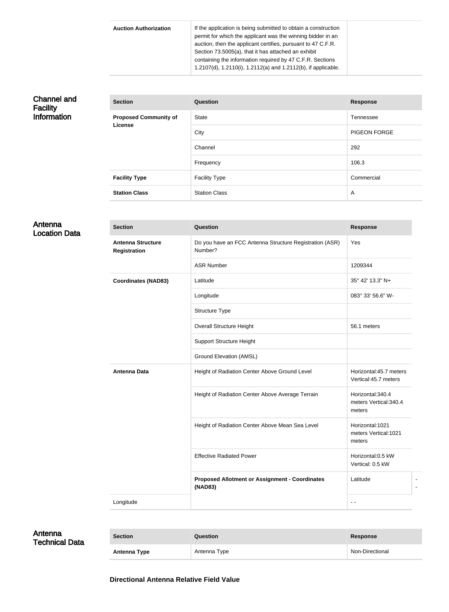| <b>Auction Authorization</b> | If the application is being submitted to obtain a construction<br>permit for which the applicant was the winning bidder in an<br>auction, then the applicant certifies, pursuant to 47 C.F.R.<br>Section 73.5005(a), that it has attached an exhibit |
|------------------------------|------------------------------------------------------------------------------------------------------------------------------------------------------------------------------------------------------------------------------------------------------|
|                              | containing the information required by 47 C.F.R. Sections<br>1.2107(d), 1.2110(i), 1.2112(a) and 1.2112(b), if applicable.                                                                                                                           |

### Channel and Facility Information

| <b>Section</b>               | <b>Question</b>      | <b>Response</b>     |
|------------------------------|----------------------|---------------------|
| <b>Proposed Community of</b> | <b>State</b>         | Tennessee           |
| <b>License</b>               | City                 | <b>PIGEON FORGE</b> |
|                              | Channel              | 292                 |
|                              | Frequency            | 106.3               |
| <b>Facility Type</b>         | <b>Facility Type</b> | Commercial          |
| <b>Station Class</b>         | <b>Station Class</b> | A                   |

### Antenna Location Data

| <b>Section</b>                                  | <b>Question</b>                                                    | <b>Response</b>                                       |
|-------------------------------------------------|--------------------------------------------------------------------|-------------------------------------------------------|
| <b>Antenna Structure</b><br><b>Registration</b> | Do you have an FCC Antenna Structure Registration (ASR)<br>Number? | Yes                                                   |
|                                                 | <b>ASR Number</b>                                                  | 1209344                                               |
| <b>Coordinates (NAD83)</b>                      | Latitude                                                           | 35° 42′ 13.3″ N+                                      |
|                                                 | Longitude                                                          | 083° 33' 56.6" W-                                     |
|                                                 | Structure Type                                                     |                                                       |
|                                                 | <b>Overall Structure Height</b>                                    | 56.1 meters                                           |
|                                                 | <b>Support Structure Height</b>                                    |                                                       |
|                                                 | <b>Ground Elevation (AMSL)</b>                                     |                                                       |
| Antenna Data                                    | Height of Radiation Center Above Ground Level                      | Horizontal: 45.7 meters<br>Vertical:45.7 meters       |
|                                                 | Height of Radiation Center Above Average Terrain                   | Horizontal: 340.4<br>meters Vertical: 340.4<br>meters |
|                                                 | Height of Radiation Center Above Mean Sea Level                    | Horizontal:1021<br>meters Vertical: 1021<br>meters    |
|                                                 | <b>Effective Radiated Power</b>                                    | Horizontal:0.5 kW<br>Vertical: 0.5 kW                 |
|                                                 | <b>Proposed Allotment or Assignment - Coordinates</b><br>(NAD83)   | Latitude                                              |
| Longitude                                       |                                                                    | $\sim$ $\sim$                                         |

### Antenna Technical Data

| <b>Section</b>      | Question     | Response        |
|---------------------|--------------|-----------------|
| <b>Antenna Type</b> | Antenna Type | Non-Directional |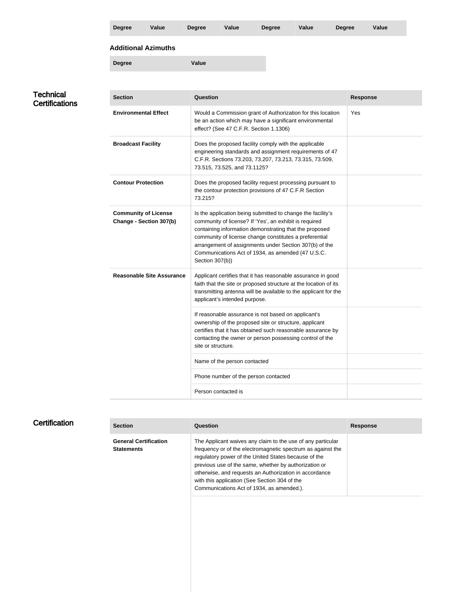|                             | <b>Degree</b>               | <b>Value</b>                     | <b>Degree</b>   | <b>Value</b>                                                                                                                                                                                                                                                   | <b>Degree</b> | Value                                                                                                                                                                                               | <b>Degree</b>   | <b>Value</b> |  |
|-----------------------------|-----------------------------|----------------------------------|-----------------|----------------------------------------------------------------------------------------------------------------------------------------------------------------------------------------------------------------------------------------------------------------|---------------|-----------------------------------------------------------------------------------------------------------------------------------------------------------------------------------------------------|-----------------|--------------|--|
|                             | <b>Additional Azimuths</b>  |                                  |                 |                                                                                                                                                                                                                                                                |               |                                                                                                                                                                                                     |                 |              |  |
|                             | <b>Degree</b>               |                                  | <b>Value</b>    |                                                                                                                                                                                                                                                                |               |                                                                                                                                                                                                     |                 |              |  |
|                             |                             |                                  |                 |                                                                                                                                                                                                                                                                |               |                                                                                                                                                                                                     |                 |              |  |
| Technical<br>Certifications | <b>Section</b>              |                                  | <b>Question</b> |                                                                                                                                                                                                                                                                |               |                                                                                                                                                                                                     | <b>Response</b> |              |  |
|                             | <b>Environmental Effect</b> |                                  |                 | effect? (See 47 C.F.R. Section 1.1306)                                                                                                                                                                                                                         |               | Would a Commission grant of Authorization for this location<br>be an action which may have a significant environmental                                                                              | Yes             |              |  |
|                             | <b>Broadcast Facility</b>   |                                  |                 | Does the proposed facility comply with the applicable<br>engineering standards and assignment requirements of 47<br>C.F.R. Sections 73.203, 73.207, 73.213, 73.315, 73.509,<br>73.515, 73.525, and 73.1125?                                                    |               |                                                                                                                                                                                                     |                 |              |  |
|                             | <b>Contour Protection</b>   |                                  | 73.215?         | the contour protection provisions of 47 C.F.R Section                                                                                                                                                                                                          |               | Does the proposed facility request processing pursuant to                                                                                                                                           |                 |              |  |
|                             | <b>Community of License</b> | Change - Section 307(b)          | Section 307(b)) | community of license? If 'Yes', an exhibit is required<br>containing information demonstrating that the proposed<br>community of license change constitutes a preferential<br>Communications Act of 1934, as amended (47 U.S.C.                                |               | Is the application being submitted to change the facility's<br>arrangement of assignments under Section 307(b) of the                                                                               |                 |              |  |
|                             |                             | <b>Reasonable Site Assurance</b> |                 | applicant's intended purpose.                                                                                                                                                                                                                                  |               | Applicant certifies that it has reasonable assurance in good<br>faith that the site or proposed structure at the location of its<br>transmitting antenna will be available to the applicant for the |                 |              |  |
|                             |                             |                                  |                 | If reasonable assurance is not based on applicant's<br>ownership of the proposed site or structure, applicant<br>certifies that it has obtained such reasonable assurance by<br>contacting the owner or person possessing control of the<br>site or structure. |               |                                                                                                                                                                                                     |                 |              |  |
|                             |                             |                                  |                 | Name of the person contacted                                                                                                                                                                                                                                   |               |                                                                                                                                                                                                     |                 |              |  |
|                             |                             |                                  |                 | Phone number of the person contacted                                                                                                                                                                                                                           |               |                                                                                                                                                                                                     |                 |              |  |
|                             |                             |                                  |                 | Person contacted is                                                                                                                                                                                                                                            |               |                                                                                                                                                                                                     |                 |              |  |

## **Certification**

| <b>Section</b>                                    | <b>Question</b>                                                                                                                                                                                                                                                                                                                                                                                     | <b>Response</b> |
|---------------------------------------------------|-----------------------------------------------------------------------------------------------------------------------------------------------------------------------------------------------------------------------------------------------------------------------------------------------------------------------------------------------------------------------------------------------------|-----------------|
| <b>General Certification</b><br><b>Statements</b> | The Applicant waives any claim to the use of any particular<br>frequency or of the electromagnetic spectrum as against the<br>regulatory power of the United States because of the<br>previous use of the same, whether by authorization or<br>otherwise, and requests an Authorization in accordance<br>with this application (See Section 304 of the<br>Communications Act of 1934, as amended.). |                 |
|                                                   |                                                                                                                                                                                                                                                                                                                                                                                                     |                 |

 $\mathbb{R}^2$